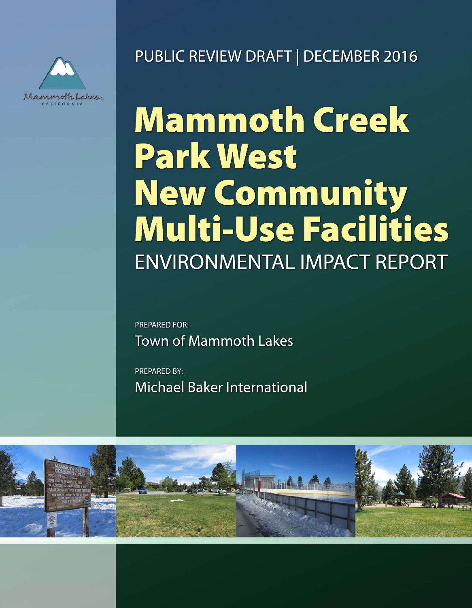

PUBLIC REVIEW DRAFT | DECEMBER 2016

# **Mammoth Creek Park West New Community Multi-Use Facilities ENVIRONMENTAL IMPACT REPORT**

**PREPARED FOR: Town of Mammoth Lakes** 

**PREPARED BY:** Michael Baker International

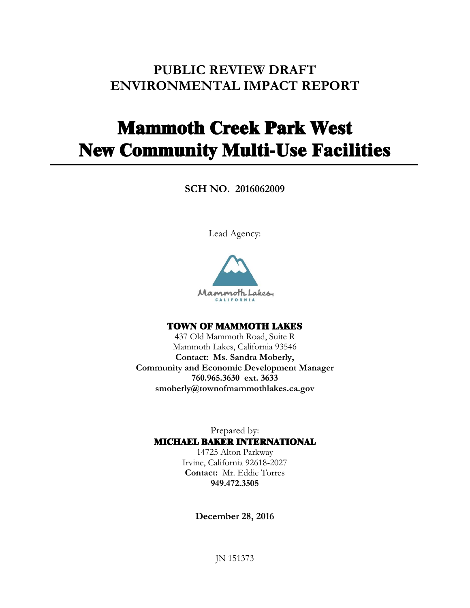### **PUBLIC REVIEW DRAFT ENVIRONMENTAL IMPACT REPORT**

# Mammoth Creek Park West New Community Multi-Use Facilities

**SCH NO. 2016062009**

Lead Agency:



#### TOWN OF MAMMOTH LAKES

437 Old Mammoth Road, Suite R Mammoth Lakes, California 93546 **Contact: Ms. Sandra Moberly, Community and Economic Development Manager 760.965.3630 ext. 3633 [smoberly@townofmammothlakes.ca.gov](mailto:smoberly@townofmammothlakes.ca.gov)**

#### Prepared by: MICHAEL BAKER INTERNATIONAL

14725 Alton Parkway Irvine, California 92618-2027 **Contact:** Mr. Eddie Torres **949.472.3505**

#### **December 28, 2016**

#### JN 151373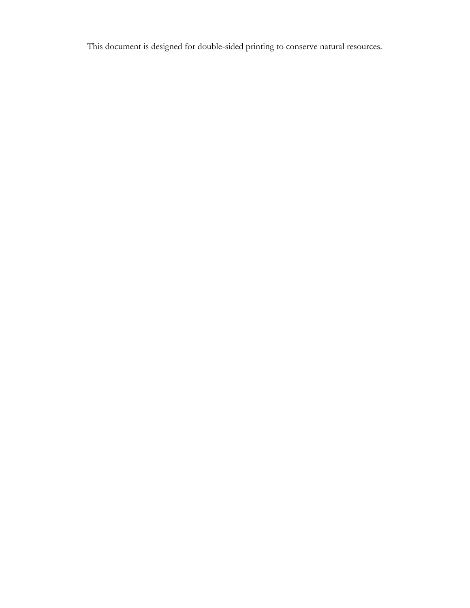This document is designed for double-sided printing to conserve natural resources.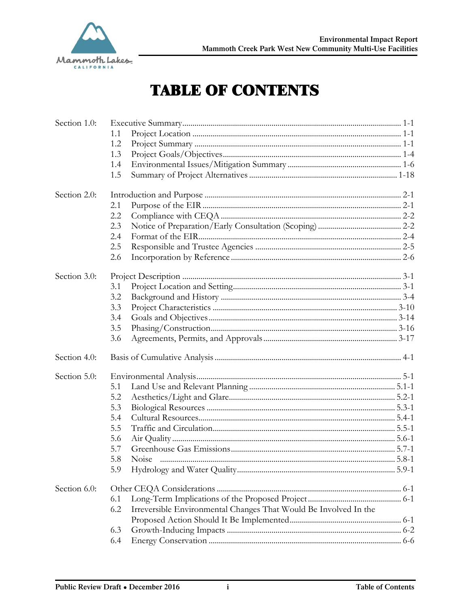

# **TABLE OF CONTENTS**

| Section 1.0: |     |                                                                  |  |
|--------------|-----|------------------------------------------------------------------|--|
|              | 1.1 |                                                                  |  |
|              | 1.2 |                                                                  |  |
|              | 1.3 |                                                                  |  |
|              | 1.4 |                                                                  |  |
|              | 1.5 |                                                                  |  |
| Section 2.0: |     |                                                                  |  |
|              | 2.1 |                                                                  |  |
|              | 2.2 |                                                                  |  |
|              | 2.3 |                                                                  |  |
|              | 2.4 |                                                                  |  |
|              | 2.5 |                                                                  |  |
|              | 2.6 |                                                                  |  |
| Section 3.0: |     |                                                                  |  |
|              | 3.1 |                                                                  |  |
|              | 3.2 |                                                                  |  |
|              | 3.3 |                                                                  |  |
|              | 3.4 |                                                                  |  |
|              | 3.5 |                                                                  |  |
|              | 3.6 |                                                                  |  |
| Section 4.0: |     |                                                                  |  |
| Section 5.0: |     |                                                                  |  |
|              | 5.1 |                                                                  |  |
|              | 5.2 |                                                                  |  |
|              | 5.3 |                                                                  |  |
|              | 5.4 |                                                                  |  |
|              | 5.5 |                                                                  |  |
|              | 5.6 |                                                                  |  |
|              | 5.7 |                                                                  |  |
|              | 5.8 |                                                                  |  |
|              | 5.9 |                                                                  |  |
| Section 6.0: |     |                                                                  |  |
|              | 6.1 |                                                                  |  |
|              | 6.2 | Irreversible Environmental Changes That Would Be Involved In the |  |
|              |     |                                                                  |  |
|              | 6.3 |                                                                  |  |
|              | 6.4 |                                                                  |  |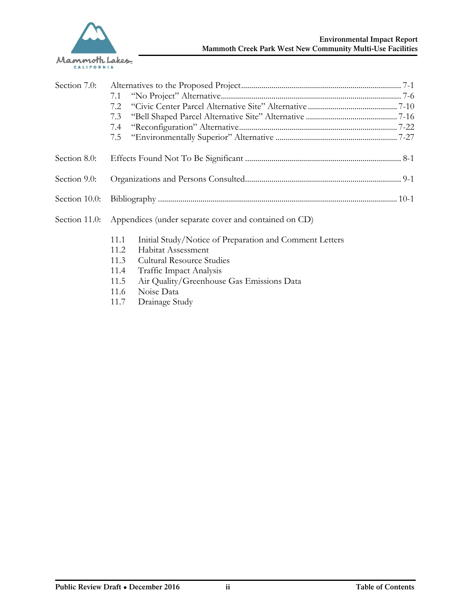

| Section 7.0:  | 7.1<br>7.2<br>7.3<br>7.4                                                                                                                                                                                                                                                   |  |
|---------------|----------------------------------------------------------------------------------------------------------------------------------------------------------------------------------------------------------------------------------------------------------------------------|--|
|               | 7.5                                                                                                                                                                                                                                                                        |  |
| Section 8.0:  |                                                                                                                                                                                                                                                                            |  |
| Section 9.0:  |                                                                                                                                                                                                                                                                            |  |
| Section 10.0: |                                                                                                                                                                                                                                                                            |  |
| Section 11.0: | Appendices (under separate cover and contained on CD)                                                                                                                                                                                                                      |  |
|               | 11.1<br>Initial Study/Notice of Preparation and Comment Letters<br>Habitat Assessment<br>11.2<br>11.3<br>Cultural Resource Studies<br>11.4<br>Traffic Impact Analysis<br>Air Quality/Greenhouse Gas Emissions Data<br>11.5<br>Noise Data<br>11.6<br>Drainage Study<br>11.7 |  |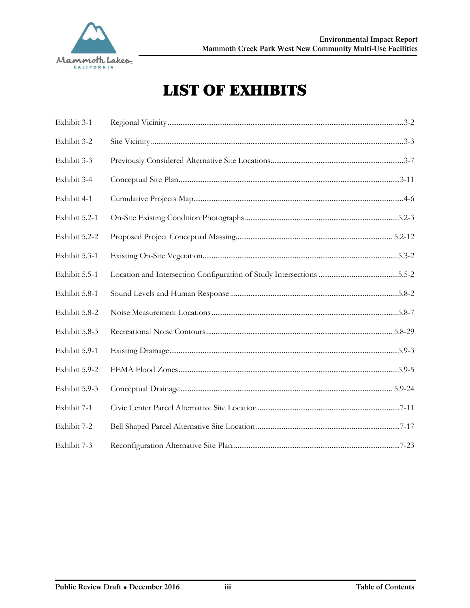

# LIST OF EXHIBITS

| Exhibit 3-1   |  |
|---------------|--|
| Exhibit 3-2   |  |
| Exhibit 3-3   |  |
| Exhibit 3-4   |  |
| Exhibit 4-1   |  |
| Exhibit 5.2-1 |  |
| Exhibit 5.2-2 |  |
| Exhibit 5.3-1 |  |
| Exhibit 5.5-1 |  |
| Exhibit 5.8-1 |  |
| Exhibit 5.8-2 |  |
| Exhibit 5.8-3 |  |
| Exhibit 5.9-1 |  |
| Exhibit 5.9-2 |  |
| Exhibit 5.9-3 |  |
| Exhibit 7-1   |  |
| Exhibit 7-2   |  |
| Exhibit 7-3   |  |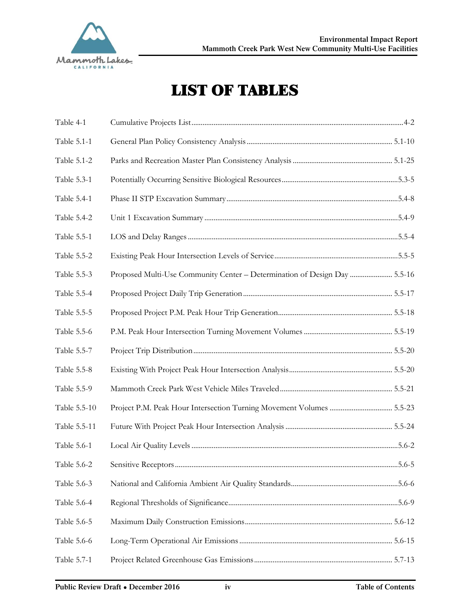

# LIST OF TABLES

| Table 4-1    |                                                                           |  |
|--------------|---------------------------------------------------------------------------|--|
| Table 5.1-1  |                                                                           |  |
| Table 5.1-2  |                                                                           |  |
| Table 5.3-1  |                                                                           |  |
| Table 5.4-1  |                                                                           |  |
| Table 5.4-2  |                                                                           |  |
| Table 5.5-1  |                                                                           |  |
| Table 5.5-2  |                                                                           |  |
| Table 5.5-3  | Proposed Multi-Use Community Center - Determination of Design Day  5.5-16 |  |
| Table 5.5-4  |                                                                           |  |
| Table 5.5-5  |                                                                           |  |
| Table 5.5-6  |                                                                           |  |
| Table 5.5-7  |                                                                           |  |
| Table 5.5-8  |                                                                           |  |
| Table 5.5-9  |                                                                           |  |
| Table 5.5-10 |                                                                           |  |
| Table 5.5-11 |                                                                           |  |
| Table 5.6-1  |                                                                           |  |
| Table 5.6-2  |                                                                           |  |
| Table 5.6-3  |                                                                           |  |
| Table 5.6-4  |                                                                           |  |
| Table 5.6-5  |                                                                           |  |
| Table 5.6-6  |                                                                           |  |
| Table 5.7-1  |                                                                           |  |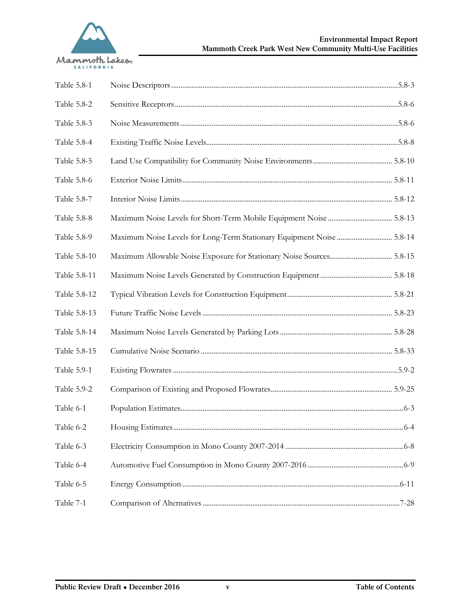

| Table 5.8-1  |  |
|--------------|--|
| Table 5.8-2  |  |
| Table 5.8-3  |  |
| Table 5.8-4  |  |
| Table 5.8-5  |  |
| Table 5.8-6  |  |
| Table 5.8-7  |  |
| Table 5.8-8  |  |
| Table 5.8-9  |  |
| Table 5.8-10 |  |
| Table 5.8-11 |  |
| Table 5.8-12 |  |
| Table 5.8-13 |  |
| Table 5.8-14 |  |
| Table 5.8-15 |  |
| Table 5.9-1  |  |
| Table 5.9-2  |  |
| Table 6-1    |  |
| Table 6-2    |  |
| Table 6-3    |  |
| Table 6-4    |  |
| Table 6-5    |  |
| Table 7-1    |  |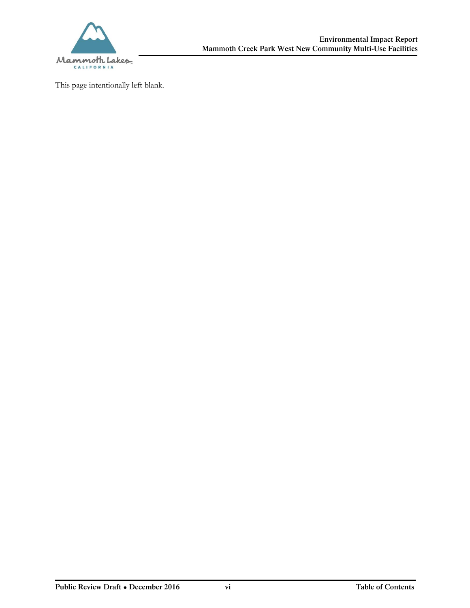

This page intentionally left blank.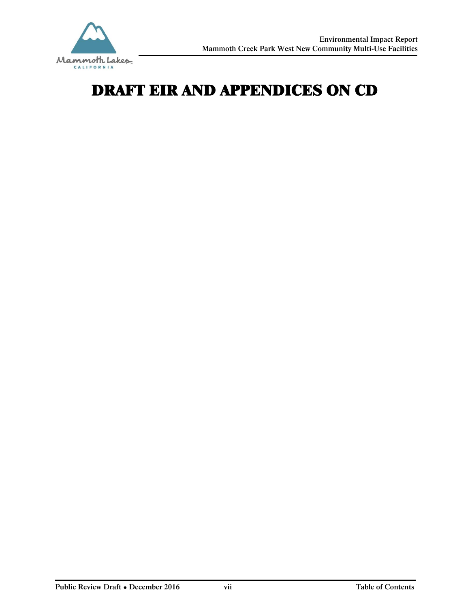

# DRAFT EIR AND APPENDICES ON CD